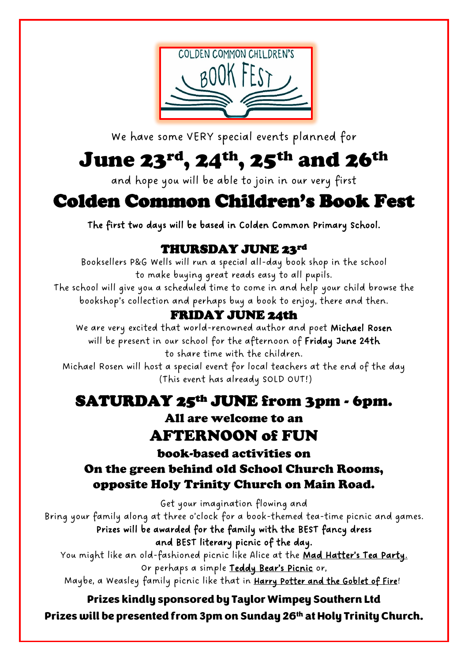

We have some VERY special events planned for

# June 23 $^{\rm rd}$ , 24 $^{\rm th}$ , 25 $^{\rm th}$  and 26 $^{\rm th}$

and hope you will be able to join in our very first

## Colden Common Children's Book Fest

The first two days will be based in Colden Common Primary School.

## THURSDAY JUNE 23rd

Booksellers P&G Wells will run a special all-day book shop in the school to make buying great reads easy to all pupils.

The school will give you a scheduled time to come in and help your child browse the bookshop's collection and perhaps buy a book to enjoy, there and then.

## FRIDAY JUNE 24th

We are very excited that world-renowned author and poet Michael Rosen will be present in our school for the afternoon of Friday June 24th to share time with the children.

Michael Rosen will host a special event for local teachers at the end of the day (This event has already SOLD OUT!)

## SATURDAY 25th JUNE from 3pm - 6pm.

All are welcome to an AFTERNOON of FUN

book-based activities on On the green behind old School Church Rooms,

## opposite Holy Trinity Church on Main Road.

Get your imagination flowing and

Bring your family along at three o'clock for a book-themed tea-time picnic and games. Prizes will be awarded for the family with the BEST fancy dress

and BEST literary picnic of the day.

You might like an old-fashioned picnic like Alice at the Mad Hatter's Tea Party. Or perhaps a simple Teddy Bear's Picnic or,

Maybe, a Weasley family picnic like that in Harry Potter and the Goblet of Fire!

### Prizes kindly sponsored by Taylor Wimpey Southern Ltd Prizes will be presented from 3pm on Sunday 26<sup>th</sup> at Holy Trinity Church.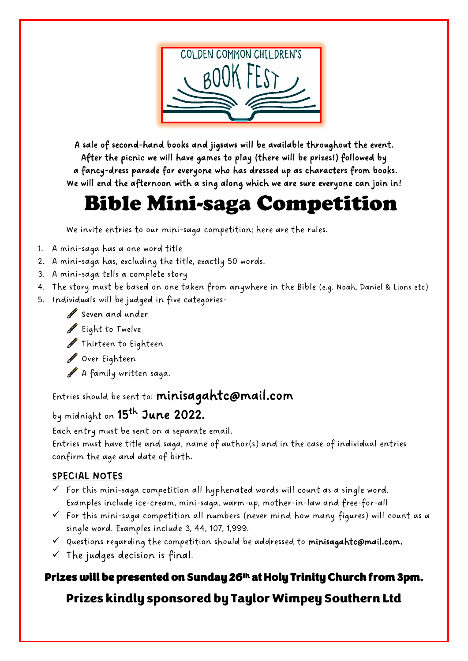

A sale of second-hand books and jigsaws will be available throughout the event. After the picnic we will have games to play (there will be prizes!) followed by a fancy-dress parade for everyone who has dressed up as characters from books. We will end the afternoon with a sing along which we are sure everyone can join in!

## Bible Mini-saga Competition

We invite entries to our mini-saga competition; here are the rules.

- 1. A mini-saga has a one word title
- 2. A mini-saga has, excluding the title, exactly 50 words.
- 3. A mini-saga tells a complete story
- 4. The story must be based on one taken from anywhere in the Bible (e.g. Noah, Daniel & Lions etc)
- 5. Individuals will be judged in five categories-
	- Seven and under
	- Eight to Twelve
	- Thirteen to Eighteen
	- Over Eighteen
	- A family written saga.

Entries should be sent to: [minisagahtc@mail.com](mailto:minisagahtc@mail.com)

## by midnight on **15<sup>th</sup> June 2022.**

Each entry must be sent on a separate email.

Entries must have title and saga, name of author(s) and in the case of individual entries confirm the age and date of birth.

#### SPECIAL NOTES

- $\checkmark$  For this mini-saga competition all hyphenated words will count as a single word. Examples include ice-cream, mini-saga, warm-up, mother-in-law and free-for-all
- $\checkmark$  For this mini-saga competition all numbers (never mind how many figures) will count as a single word. Examples include 3, 44, 107, 1,999.
- $\checkmark$  Questions regarding the competition should be addressed to [minisagahtc@mail.com.](mailto:minisagahtc@mail.com)
- $\checkmark$  The judges decision is final.

### Prizes will be presented on Sunday 26<sup>th</sup> at Holy Trinity Church from 3pm.

## Prizes kindly sponsored by Taylor Wimpey Southern Ltd